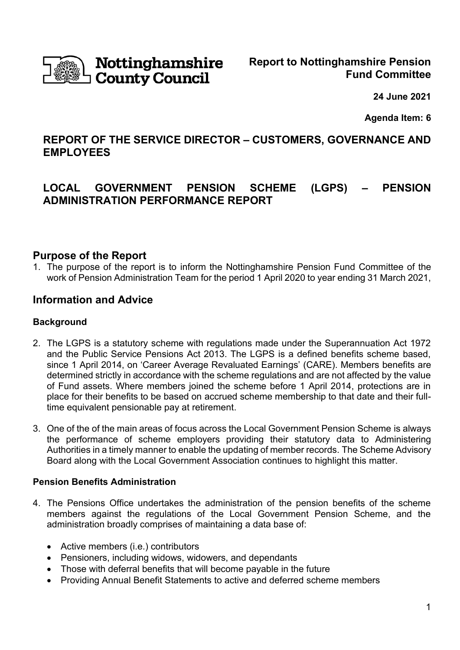

# Nottinghamshire **County Council**

**24 June 2021**

**Agenda Item: 6**

## **REPORT OF THE SERVICE DIRECTOR – CUSTOMERS, GOVERNANCE AND EMPLOYEES**

## **LOCAL GOVERNMENT PENSION SCHEME (LGPS) – PENSION ADMINISTRATION PERFORMANCE REPORT**

## **Purpose of the Report**

1. The purpose of the report is to inform the Nottinghamshire Pension Fund Committee of the work of Pension Administration Team for the period 1 April 2020 to year ending 31 March 2021,

## **Information and Advice**

#### **Background**

- 2. The LGPS is a statutory scheme with regulations made under the Superannuation Act 1972 and the Public Service Pensions Act 2013. The LGPS is a defined benefits scheme based, since 1 April 2014, on 'Career Average Revaluated Earnings' (CARE). Members benefits are determined strictly in accordance with the scheme regulations and are not affected by the value of Fund assets. Where members joined the scheme before 1 April 2014, protections are in place for their benefits to be based on accrued scheme membership to that date and their fulltime equivalent pensionable pay at retirement.
- 3. One of the of the main areas of focus across the Local Government Pension Scheme is always the performance of scheme employers providing their statutory data to Administering Authorities in a timely manner to enable the updating of member records. The Scheme Advisory Board along with the Local Government Association continues to highlight this matter.

#### **Pension Benefits Administration**

- 4. The Pensions Office undertakes the administration of the pension benefits of the scheme members against the regulations of the Local Government Pension Scheme, and the administration broadly comprises of maintaining a data base of:
	- Active members (i.e.) contributors
	- Pensioners, including widows, widowers, and dependants
	- Those with deferral benefits that will become payable in the future
	- Providing Annual Benefit Statements to active and deferred scheme members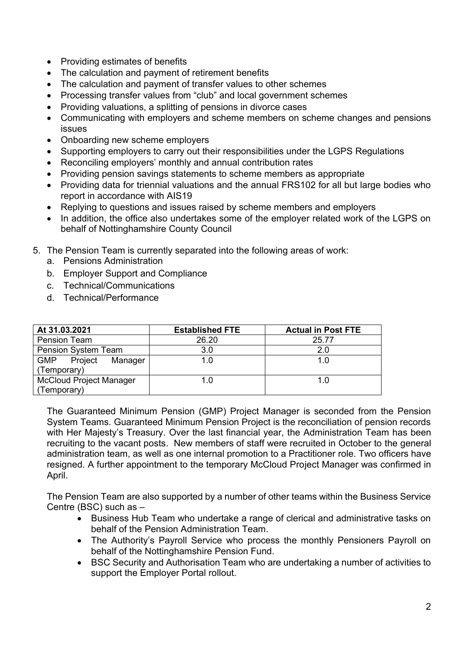- Providing estimates of benefits
- The calculation and payment of retirement benefits
- The calculation and payment of transfer values to other schemes
- Processing transfer values from "club" and local government schemes
- Providing valuations, a splitting of pensions in divorce cases
- Communicating with employers and scheme members on scheme changes and pensions issues
- Onboarding new scheme employers
- Supporting employers to carry out their responsibilities under the LGPS Regulations
- Reconciling employers' monthly and annual contribution rates
- Providing pension savings statements to scheme members as appropriate
- Providing data for triennial valuations and the annual FRS102 for all but large bodies who report in accordance with AIS19
- Replying to questions and issues raised by scheme members and employers
- In addition, the office also undertakes some of the employer related work of the LGPS on behalf of Nottinghamshire County Council
- 5. The Pension Team is currently separated into the following areas of work:
	- a. Pensions Administration
	- b. Employer Support and Compliance
	- c. Technical/Communications
	- d. Technical/Performance

| At 31.03.2021                    | <b>Established FTE</b> | <b>Actual in Post FTE</b> |
|----------------------------------|------------------------|---------------------------|
| <b>Pension Team</b>              | 26.20                  | 25.77                     |
| <b>Pension System Team</b>       | 3.0                    | 2.0                       |
| <b>GMP</b><br>Project<br>Manager | 1 በ                    | 1.0                       |
| (Temporary)                      |                        |                           |
| <b>McCloud Project Manager</b>   | 1 ()                   | 1.0                       |
| (Temporary)                      |                        |                           |

The Guaranteed Minimum Pension (GMP) Project Manager is seconded from the Pension System Teams. Guaranteed Minimum Pension Project is the reconciliation of pension records with Her Majesty's Treasury. Over the last financial year, the Administration Team has been recruiting to the vacant posts. New members of staff were recruited in October to the general administration team, as well as one internal promotion to a Practitioner role. Two officers have resigned. A further appointment to the temporary McCloud Project Manager was confirmed in April.

The Pension Team are also supported by a number of other teams within the Business Service Centre (BSC) such as –

- Business Hub Team who undertake a range of clerical and administrative tasks on behalf of the Pension Administration Team.
- The Authority's Payroll Service who process the monthly Pensioners Payroll on behalf of the Nottinghamshire Pension Fund.
- BSC Security and Authorisation Team who are undertaking a number of activities to support the Employer Portal rollout.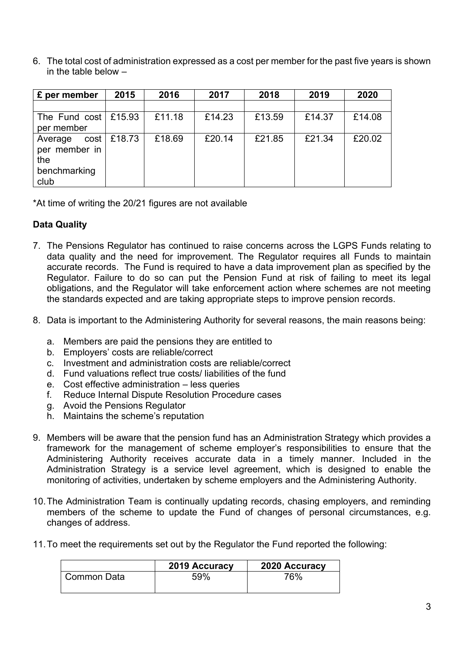6. The total cost of administration expressed as a cost per member for the past five years is shown in the table below –

| £ per member               | 2015          | 2016   | 2017   | 2018   | 2019   | 2020   |
|----------------------------|---------------|--------|--------|--------|--------|--------|
|                            |               |        |        |        |        |        |
| The Fund cost $\leq 15.93$ |               | £11.18 | £14.23 | £13.59 | £14.37 | £14.08 |
| per member                 |               |        |        |        |        |        |
| Average                    | $cost$ £18.73 | £18.69 | £20.14 | £21.85 | £21.34 | £20.02 |
| per member in              |               |        |        |        |        |        |
| the                        |               |        |        |        |        |        |
| benchmarking               |               |        |        |        |        |        |
| club                       |               |        |        |        |        |        |

\*At time of writing the 20/21 figures are not available

## **Data Quality**

- 7. The Pensions Regulator has continued to raise concerns across the LGPS Funds relating to data quality and the need for improvement. The Regulator requires all Funds to maintain accurate records. The Fund is required to have a data improvement plan as specified by the Regulator. Failure to do so can put the Pension Fund at risk of failing to meet its legal obligations, and the Regulator will take enforcement action where schemes are not meeting the standards expected and are taking appropriate steps to improve pension records.
- 8. Data is important to the Administering Authority for several reasons, the main reasons being:
	- a. Members are paid the pensions they are entitled to
	- b. Employers' costs are reliable/correct
	- c. Investment and administration costs are reliable/correct
	- d. Fund valuations reflect true costs/ liabilities of the fund
	- e. Cost effective administration less queries
	- f. Reduce Internal Dispute Resolution Procedure cases
	- g. Avoid the Pensions Regulator
	- h. Maintains the scheme's reputation
- 9. Members will be aware that the pension fund has an Administration Strategy which provides a framework for the management of scheme employer's responsibilities to ensure that the Administering Authority receives accurate data in a timely manner. Included in the Administration Strategy is a service level agreement, which is designed to enable the monitoring of activities, undertaken by scheme employers and the Administering Authority.
- 10.The Administration Team is continually updating records, chasing employers, and reminding members of the scheme to update the Fund of changes of personal circumstances, e.g. changes of address.
- 11.To meet the requirements set out by the Regulator the Fund reported the following:

|             | 2019 Accuracy | 2020 Accuracy |
|-------------|---------------|---------------|
| Common Data | 59%           | 76%           |
|             |               |               |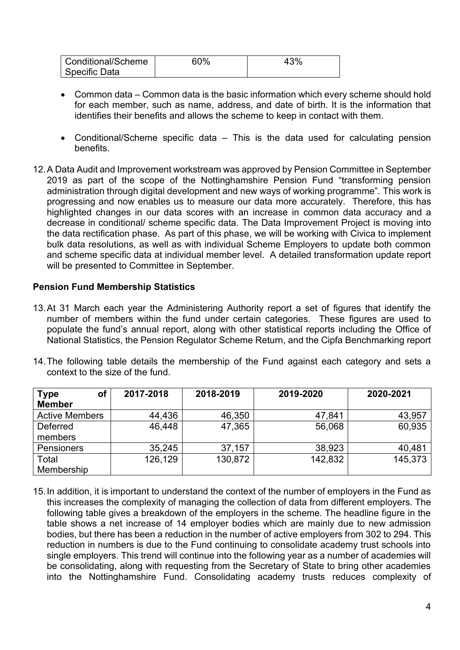| Conditional/Scheme | 60% | 3% |
|--------------------|-----|----|
| Specific Data      |     |    |

- Common data Common data is the basic information which every scheme should hold for each member, such as name, address, and date of birth. It is the information that identifies their benefits and allows the scheme to keep in contact with them.
- Conditional/Scheme specific data This is the data used for calculating pension benefits.
- 12.A Data Audit and Improvement workstream was approved by Pension Committee in September 2019 as part of the scope of the Nottinghamshire Pension Fund "transforming pension administration through digital development and new ways of working programme". This work is progressing and now enables us to measure our data more accurately. Therefore, this has highlighted changes in our data scores with an increase in common data accuracy and a decrease in conditional/ scheme specific data. The Data Improvement Project is moving into the data rectification phase. As part of this phase, we will be working with Civica to implement bulk data resolutions, as well as with individual Scheme Employers to update both common and scheme specific data at individual member level. A detailed transformation update report will be presented to Committee in September.

#### **Pension Fund Membership Statistics**

- 13.At 31 March each year the Administering Authority report a set of figures that identify the number of members within the fund under certain categories. These figures are used to populate the fund's annual report, along with other statistical reports including the Office of National Statistics, the Pension Regulator Scheme Return, and the Cipfa Benchmarking report
- 14.The following table details the membership of the Fund against each category and sets a context to the size of the fund.

| <b>Type</b><br>οſ     | 2017-2018 | 2018-2019 | 2019-2020 | 2020-2021 |
|-----------------------|-----------|-----------|-----------|-----------|
| <b>Member</b>         |           |           |           |           |
| <b>Active Members</b> | 44,436    | 46,350    | 47,841    | 43,957    |
| <b>Deferred</b>       | 46,448    | 47,365    | 56,068    | 60,935    |
| members               |           |           |           |           |
| Pensioners            | 35,245    | 37,157    | 38,923    | 40,481    |
| Total                 | 126,129   | 130,872   | 142,832   | 145,373   |
| Membership            |           |           |           |           |

15.In addition, it is important to understand the context of the number of employers in the Fund as this increases the complexity of managing the collection of data from different employers. The following table gives a breakdown of the employers in the scheme. The headline figure in the table shows a net increase of 14 employer bodies which are mainly due to new admission bodies, but there has been a reduction in the number of active employers from 302 to 294. This reduction in numbers is due to the Fund continuing to consolidate academy trust schools into single employers. This trend will continue into the following year as a number of academies will be consolidating, along with requesting from the Secretary of State to bring other academies into the Nottinghamshire Fund. Consolidating academy trusts reduces complexity of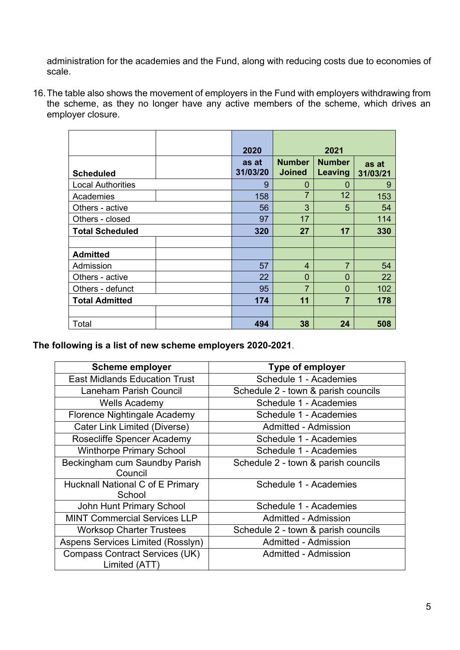administration for the academies and the Fund, along with reducing costs due to economies of scale.

16.The table also shows the movement of employers in the Fund with employers withdrawing from the scheme, as they no longer have any active members of the scheme, which drives an employer closure.

|                          | 2020              |                                | 2021                     |                   |
|--------------------------|-------------------|--------------------------------|--------------------------|-------------------|
| <b>Scheduled</b>         | as at<br>31/03/20 | <b>Number</b><br><b>Joined</b> | <b>Number</b><br>Leaving | as at<br>31/03/21 |
| <b>Local Authorities</b> | 9                 | 0                              | $\Omega$                 | 9                 |
| Academies                | 158               | $\overline{7}$                 | $12 \overline{ }$        | 153               |
| Others - active          | 56                | 3                              | 5                        | 54                |
| Others - closed          | 97                | 17                             |                          | 114               |
| <b>Total Scheduled</b>   | 320               | 27                             | 17                       | 330               |
|                          |                   |                                |                          |                   |
| <b>Admitted</b>          |                   |                                |                          |                   |
| Admission                | 57                | $\overline{4}$                 | $\overline{7}$           | 54                |
| Others - active          | 22                | 0                              | 0                        | 22                |
| Others - defunct         | 95                | 7                              | $\overline{0}$           | 102               |
| <b>Total Admitted</b>    | 174               | 11                             | $\overline{7}$           | 178               |
|                          |                   |                                |                          |                   |
| Total                    | 494               | 38                             | 24                       | 508               |

**The following is a list of new scheme employers 2020-2021**.

| <b>Scheme employer</b>                                | <b>Type of employer</b>             |
|-------------------------------------------------------|-------------------------------------|
| <b>East Midlands Education Trust</b>                  | Schedule 1 - Academies              |
| <b>Laneham Parish Council</b>                         | Schedule 2 - town & parish councils |
| <b>Wells Academy</b>                                  | Schedule 1 - Academies              |
| Florence Nightingale Academy                          | Schedule 1 - Academies              |
| Cater Link Limited (Diverse)                          | Admitted - Admission                |
| <b>Rosecliffe Spencer Academy</b>                     | Schedule 1 - Academies              |
| <b>Winthorpe Primary School</b>                       | Schedule 1 - Academies              |
| Beckingham cum Saundby Parish<br>Council              | Schedule 2 - town & parish councils |
| <b>Hucknall National C of E Primary</b><br>School     | Schedule 1 - Academies              |
| <b>John Hunt Primary School</b>                       | Schedule 1 - Academies              |
| <b>MINT Commercial Services LLP</b>                   | Admitted - Admission                |
| <b>Worksop Charter Trustees</b>                       | Schedule 2 - town & parish councils |
| Aspens Services Limited (Rosslyn)                     | Admitted - Admission                |
| <b>Compass Contract Services (UK)</b><br>Limited (ATT | Admitted - Admission                |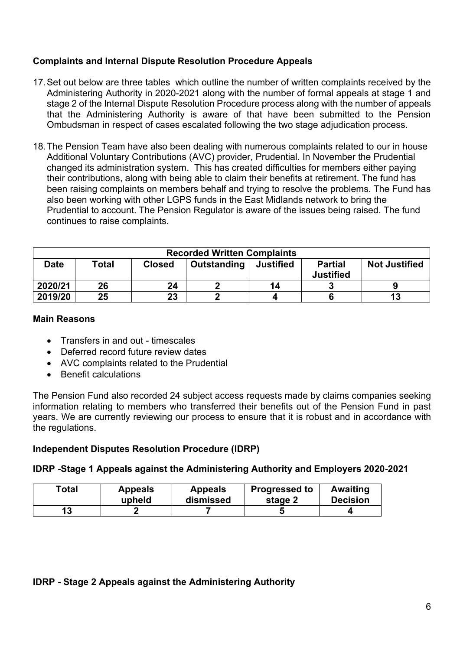## **Complaints and Internal Dispute Resolution Procedure Appeals**

- 17.Set out below are three tables which outline the number of written complaints received by the Administering Authority in 2020-2021 along with the number of formal appeals at stage 1 and stage 2 of the Internal Dispute Resolution Procedure process along with the number of appeals that the Administering Authority is aware of that have been submitted to the Pension Ombudsman in respect of cases escalated following the two stage adjudication process.
- 18.The Pension Team have also been dealing with numerous complaints related to our in house Additional Voluntary Contributions (AVC) provider, Prudential. In November the Prudential changed its administration system. This has created difficulties for members either paying their contributions, along with being able to claim their benefits at retirement. The fund has been raising complaints on members behalf and trying to resolve the problems. The Fund has also been working with other LGPS funds in the East Midlands network to bring the Prudential to account. The Pension Regulator is aware of the issues being raised. The fund continues to raise complaints.

| <b>Recorded Written Complaints</b>                                                                             |    |    |  |    |  |                      |
|----------------------------------------------------------------------------------------------------------------|----|----|--|----|--|----------------------|
| Outstanding<br><b>Partial</b><br>Total<br><b>Date</b><br><b>Justified</b><br><b>Closed</b><br><b>Justified</b> |    |    |  |    |  | <b>Not Justified</b> |
| 2020/21                                                                                                        | 26 | 24 |  | 14 |  |                      |
| 2019/20                                                                                                        | 25 | 23 |  |    |  | 13                   |

## **Main Reasons**

- Transfers in and out timescales
- Deferred record future review dates
- AVC complaints related to the Prudential
- Benefit calculations

The Pension Fund also recorded 24 subject access requests made by claims companies seeking information relating to members who transferred their benefits out of the Pension Fund in past years. We are currently reviewing our process to ensure that it is robust and in accordance with the regulations.

## **Independent Disputes Resolution Procedure (IDRP)**

## **IDRP -Stage 1 Appeals against the Administering Authority and Employers 2020-2021**

| Total | <b>Appeals</b> | <b>Appeals</b> | <b>Progressed to</b> | <b>Awaiting</b> |
|-------|----------------|----------------|----------------------|-----------------|
|       | upheld         | dismissed      | stage 2              | <b>Decision</b> |
|       |                |                |                      |                 |

## **IDRP - Stage 2 Appeals against the Administering Authority**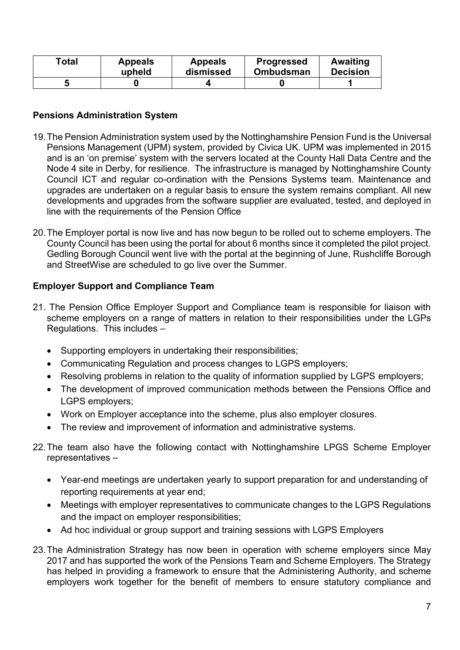| Total | <b>Appeals</b> | <b>Appeals</b> | <b>Progressed</b> | Awaiting        |
|-------|----------------|----------------|-------------------|-----------------|
|       | upheld         | dismissed      | <b>Ombudsman</b>  | <b>Decision</b> |
|       |                |                |                   |                 |

#### **Pensions Administration System**

- 19.The Pension Administration system used by the Nottinghamshire Pension Fund is the Universal Pensions Management (UPM) system, provided by Civica UK. UPM was implemented in 2015 and is an 'on premise' system with the servers located at the County Hall Data Centre and the Node 4 site in Derby, for resilience. The infrastructure is managed by Nottinghamshire County Council ICT and regular co-ordination with the Pensions Systems team. Maintenance and upgrades are undertaken on a regular basis to ensure the system remains compliant. All new developments and upgrades from the software supplier are evaluated, tested, and deployed in line with the requirements of the Pension Office
- 20.The Employer portal is now live and has now begun to be rolled out to scheme employers. The County Council has been using the portal for about 6 months since it completed the pilot project. Gedling Borough Council went live with the portal at the beginning of June, Rushcliffe Borough and StreetWise are scheduled to go live over the Summer.

## **Employer Support and Compliance Team**

- 21. The Pension Office Employer Support and Compliance team is responsible for liaison with scheme employers on a range of matters in relation to their responsibilities under the LGPs Regulations. This includes –
	- Supporting employers in undertaking their responsibilities;
	- Communicating Regulation and process changes to LGPS employers;
	- Resolving problems in relation to the quality of information supplied by LGPS employers;
	- The development of improved communication methods between the Pensions Office and LGPS employers;
	- Work on Employer acceptance into the scheme, plus also employer closures.
	- The review and improvement of information and administrative systems.
- 22.The team also have the following contact with Nottinghamshire LPGS Scheme Employer representatives –
	- Year-end meetings are undertaken yearly to support preparation for and understanding of reporting requirements at year end;
	- Meetings with employer representatives to communicate changes to the LGPS Regulations and the impact on employer responsibilities;
	- Ad hoc individual or group support and training sessions with LGPS Employers
- 23.The Administration Strategy has now been in operation with scheme employers since May 2017 and has supported the work of the Pensions Team and Scheme Employers. The Strategy has helped in providing a framework to ensure that the Administering Authority, and scheme employers work together for the benefit of members to ensure statutory compliance and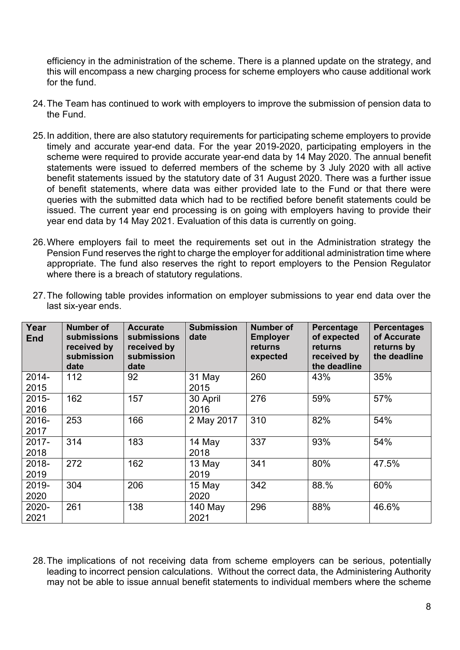efficiency in the administration of the scheme. There is a planned update on the strategy, and this will encompass a new charging process for scheme employers who cause additional work for the fund.

- 24.The Team has continued to work with employers to improve the submission of pension data to the Fund.
- 25.In addition, there are also statutory requirements for participating scheme employers to provide timely and accurate year-end data. For the year 2019-2020, participating employers in the scheme were required to provide accurate year-end data by 14 May 2020. The annual benefit statements were issued to deferred members of the scheme by 3 July 2020 with all active benefit statements issued by the statutory date of 31 August 2020. There was a further issue of benefit statements, where data was either provided late to the Fund or that there were queries with the submitted data which had to be rectified before benefit statements could be issued. The current year end processing is on going with employers having to provide their year end data by 14 May 2021. Evaluation of this data is currently on going.
- 26.Where employers fail to meet the requirements set out in the Administration strategy the Pension Fund reserves the right to charge the employer for additional administration time where appropriate. The fund also reserves the right to report employers to the Pension Regulator where there is a breach of statutory regulations.

| Year<br><b>End</b> | <b>Number of</b><br><b>submissions</b><br>received by<br>submission<br>date | <b>Accurate</b><br><b>submissions</b><br>received by<br>submission<br>date | <b>Submission</b><br>date | Number of<br><b>Employer</b><br>returns<br>expected | Percentage<br>of expected<br>returns<br>received by<br>the deadline | <b>Percentages</b><br>of Accurate<br>returns by<br>the deadline |
|--------------------|-----------------------------------------------------------------------------|----------------------------------------------------------------------------|---------------------------|-----------------------------------------------------|---------------------------------------------------------------------|-----------------------------------------------------------------|
| $2014 -$<br>2015   | 112                                                                         | 92                                                                         | 31 May<br>2015            | 260                                                 | 43%                                                                 | 35%                                                             |
| $2015 -$<br>2016   | 162                                                                         | 157                                                                        | 30 April<br>2016          | 276                                                 | 59%                                                                 | 57%                                                             |
| $2016 -$<br>2017   | 253                                                                         | 166                                                                        | 2 May 2017                | 310                                                 | 82%                                                                 | 54%                                                             |
| $2017 -$<br>2018   | 314                                                                         | 183                                                                        | 14 May<br>2018            | 337                                                 | 93%                                                                 | 54%                                                             |
| 2018-<br>2019      | 272                                                                         | 162                                                                        | 13 May<br>2019            | 341                                                 | 80%                                                                 | 47.5%                                                           |
| 2019-<br>2020      | 304                                                                         | 206                                                                        | 15 May<br>2020            | 342                                                 | 88.%                                                                | 60%                                                             |
| 2020-<br>2021      | 261                                                                         | 138                                                                        | 140 May<br>2021           | 296                                                 | 88%                                                                 | 46.6%                                                           |

27.The following table provides information on employer submissions to year end data over the last six-year ends.

28.The implications of not receiving data from scheme employers can be serious, potentially leading to incorrect pension calculations. Without the correct data, the Administering Authority may not be able to issue annual benefit statements to individual members where the scheme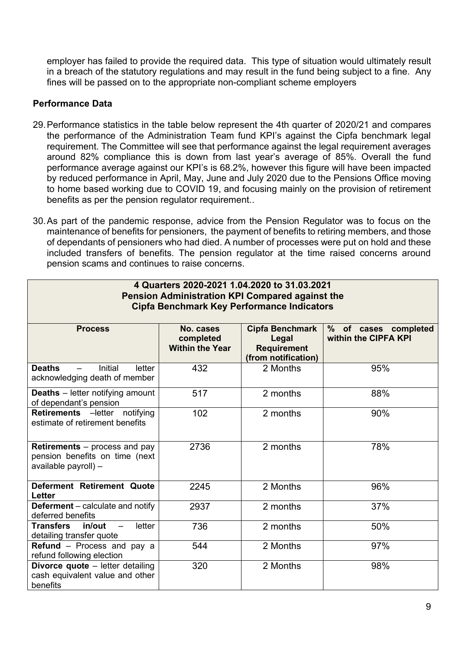employer has failed to provide the required data. This type of situation would ultimately result in a breach of the statutory regulations and may result in the fund being subject to a fine. Any fines will be passed on to the appropriate non-compliant scheme employers

## **Performance Data**

- 29.Performance statistics in the table below represent the 4th quarter of 2020/21 and compares the performance of the Administration Team fund KPI's against the Cipfa benchmark legal requirement. The Committee will see that performance against the legal requirement averages around 82% compliance this is down from last year's average of 85%. Overall the fund performance average against our KPI's is 68.2%, however this figure will have been impacted by reduced performance in April, May, June and July 2020 due to the Pensions Office moving to home based working due to COVID 19, and focusing mainly on the provision of retirement benefits as per the pension regulator requirement..
- 30.As part of the pandemic response, advice from the Pension Regulator was to focus on the maintenance of benefits for pensioners, the payment of benefits to retiring members, and those of dependants of pensioners who had died. A number of processes were put on hold and these included transfers of benefits. The pension regulator at the time raised concerns around pension scams and continues to raise concerns.

| 4 Quarters 2020-2021 1.04.2020 to 31.03.2021<br><b>Pension Administration KPI Compared against the</b><br><b>Cipfa Benchmark Key Performance Indicators</b> |                                                  |                                                                              |                                              |  |  |  |
|-------------------------------------------------------------------------------------------------------------------------------------------------------------|--------------------------------------------------|------------------------------------------------------------------------------|----------------------------------------------|--|--|--|
| <b>Process</b>                                                                                                                                              | No. cases<br>completed<br><b>Within the Year</b> | <b>Cipfa Benchmark</b><br>Legal<br><b>Requirement</b><br>(from notification) | % of cases completed<br>within the CIPFA KPI |  |  |  |
| <b>Deaths</b><br>Initial<br>letter<br>acknowledging death of member                                                                                         | 432                                              | 2 Months                                                                     | 95%                                          |  |  |  |
| <b>Deaths</b> - letter notifying amount<br>of dependant's pension                                                                                           | 517                                              | 2 months                                                                     | 88%                                          |  |  |  |
| Retirements - letter notifying<br>estimate of retirement benefits                                                                                           | 102                                              | 2 months                                                                     | 90%                                          |  |  |  |
| <b>Retirements</b> – process and pay<br>pension benefits on time (next<br>available payroll) $-$                                                            | 2736                                             | 2 months                                                                     | 78%                                          |  |  |  |
| Deferment Retirement Quote<br><b>Letter</b>                                                                                                                 | 2245                                             | 2 Months                                                                     | 96%                                          |  |  |  |
| <b>Deferment</b> – calculate and notify<br>deferred benefits                                                                                                | 2937                                             | 2 months                                                                     | 37%                                          |  |  |  |
| <b>Transfers</b><br>in/out<br>letter<br>detailing transfer quote                                                                                            | 736                                              | 2 months                                                                     | 50%                                          |  |  |  |
| Refund - Process and pay a<br>refund following election                                                                                                     | 544                                              | 2 Months                                                                     | 97%                                          |  |  |  |
| Divorce quote - letter detailing<br>cash equivalent value and other<br>benefits                                                                             | 320                                              | 2 Months                                                                     | 98%                                          |  |  |  |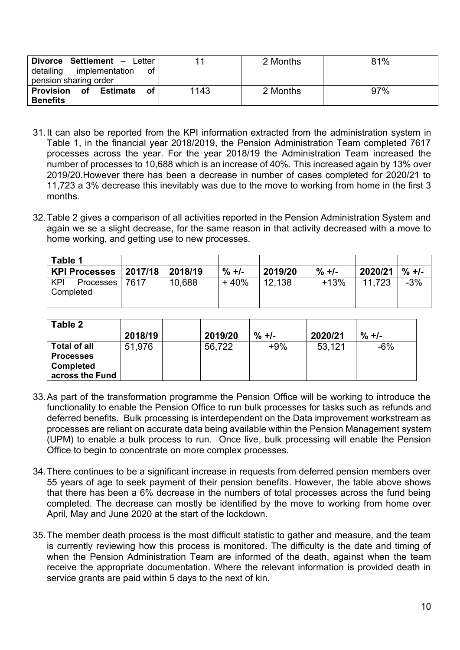| Divorce Settlement - Letter<br>implementation<br>detailing<br>οf<br>pension sharing order |      | 2 Months | 81% |
|-------------------------------------------------------------------------------------------|------|----------|-----|
| of<br>Provision<br>Estimate<br>оf<br><b>Benefits</b>                                      | 1143 | 2 Months | 97% |

- 31.It can also be reported from the KPI information extracted from the administration system in Table 1, in the financial year 2018/2019, the Pension Administration Team completed 7617 processes across the year. For the year 2018/19 the Administration Team increased the number of processes to 10,688 which is an increase of 40%. This increased again by 13% over 2019/20.However there has been a decrease in number of cases completed for 2020/21 to 11,723 a 3% decrease this inevitably was due to the move to working from home in the first 3 months.
- 32.Table 2 gives a comparison of all activities reported in the Pension Administration System and again we se a slight decrease, for the same reason in that activity decreased with a move to home working, and getting use to new processes.

| Table 1              |         |         |          |         |          |         |                   |
|----------------------|---------|---------|----------|---------|----------|---------|-------------------|
| <b>KPI Processes</b> | 2017/18 | 2018/19 | $\% +$ - | 2019/20 | $\% +$ - | 2020/21 | $\frac{9}{6}$ +/- |
| KPI<br>Processes     | 7617    | 10,688  | + 40%    | 12.138  | $+13%$   | 11.723  | $-3%$             |
| Completed            |         |         |          |         |          |         |                   |
|                      |         |         |          |         |          |         |                   |

| Table 2             |         |         |        |         |          |
|---------------------|---------|---------|--------|---------|----------|
|                     | 2018/19 | 2019/20 | $\% +$ | 2020/21 | $\% +$ - |
| <b>Total of all</b> | 51,976  | 56,722  | $+9%$  | 53,121  | -6%      |
| <b>Processes</b>    |         |         |        |         |          |
| <b>Completed</b>    |         |         |        |         |          |
| across the Fund     |         |         |        |         |          |

- 33.As part of the transformation programme the Pension Office will be working to introduce the functionality to enable the Pension Office to run bulk processes for tasks such as refunds and deferred benefits. Bulk processing is interdependent on the Data improvement workstream as processes are reliant on accurate data being available within the Pension Management system (UPM) to enable a bulk process to run. Once live, bulk processing will enable the Pension Office to begin to concentrate on more complex processes.
- 34.There continues to be a significant increase in requests from deferred pension members over 55 years of age to seek payment of their pension benefits. However, the table above shows that there has been a 6% decrease in the numbers of total processes across the fund being completed. The decrease can mostly be identified by the move to working from home over April, May and June 2020 at the start of the lockdown.
- 35.The member death process is the most difficult statistic to gather and measure, and the team is currently reviewing how this process is monitored. The difficulty is the date and timing of when the Pension Administration Team are informed of the death, against when the team receive the appropriate documentation. Where the relevant information is provided death in service grants are paid within 5 days to the next of kin.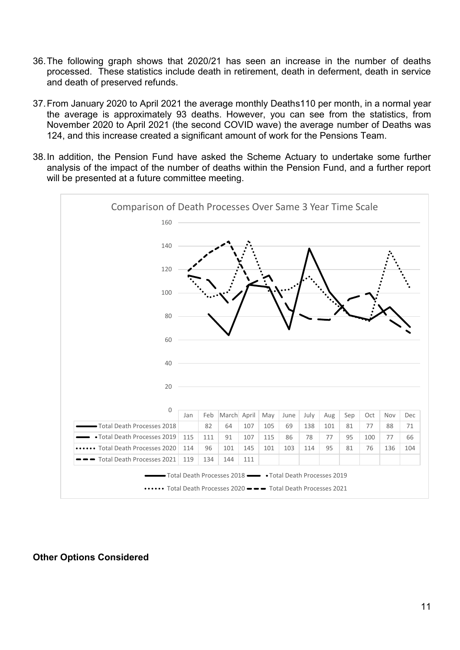- 36.The following graph shows that 2020/21 has seen an increase in the number of deaths processed. These statistics include death in retirement, death in deferment, death in service and death of preserved refunds.
- 37.From January 2020 to April 2021 the average monthly Deaths110 per month, in a normal year the average is approximately 93 deaths. However, you can see from the statistics, from November 2020 to April 2021 (the second COVID wave) the average number of Deaths was 124, and this increase created a significant amount of work for the Pensions Team.
- 38.In addition, the Pension Fund have asked the Scheme Actuary to undertake some further analysis of the impact of the number of deaths within the Pension Fund, and a further report will be presented at a future committee meeting.



#### **Other Options Considered**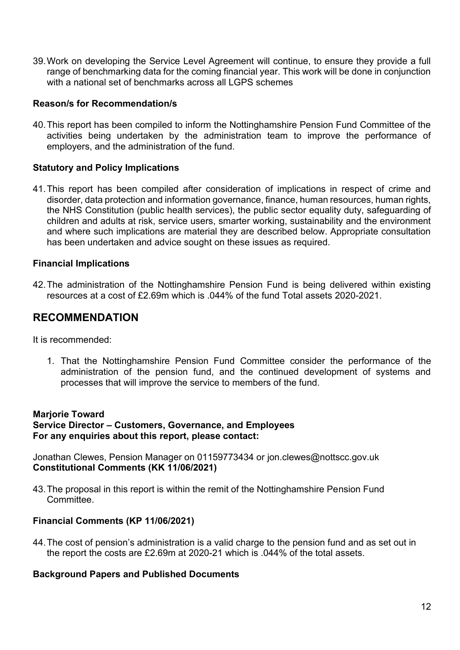39.Work on developing the Service Level Agreement will continue, to ensure they provide a full range of benchmarking data for the coming financial year. This work will be done in conjunction with a national set of benchmarks across all LGPS schemes

#### **Reason/s for Recommendation/s**

40.This report has been compiled to inform the Nottinghamshire Pension Fund Committee of the activities being undertaken by the administration team to improve the performance of employers, and the administration of the fund.

#### **Statutory and Policy Implications**

41.This report has been compiled after consideration of implications in respect of crime and disorder, data protection and information governance, finance, human resources, human rights, the NHS Constitution (public health services), the public sector equality duty, safeguarding of children and adults at risk, service users, smarter working, sustainability and the environment and where such implications are material they are described below. Appropriate consultation has been undertaken and advice sought on these issues as required.

#### **Financial Implications**

42.The administration of the Nottinghamshire Pension Fund is being delivered within existing resources at a cost of £2.69m which is .044% of the fund Total assets 2020-2021.

## **RECOMMENDATION**

It is recommended:

1. That the Nottinghamshire Pension Fund Committee consider the performance of the administration of the pension fund, and the continued development of systems and processes that will improve the service to members of the fund.

#### **Marjorie Toward**

**Service Director – Customers, Governance, and Employees For any enquiries about this report, please contact:**

Jonathan Clewes, Pension Manager on 01159773434 or jon.clewes@nottscc.gov.uk **Constitutional Comments (KK 11/06/2021)**

43.The proposal in this report is within the remit of the Nottinghamshire Pension Fund **Committee** 

#### **Financial Comments (KP 11/06/2021)**

44.The cost of pension's administration is a valid charge to the pension fund and as set out in the report the costs are £2.69m at 2020-21 which is .044% of the total assets.

#### **Background Papers and Published Documents**